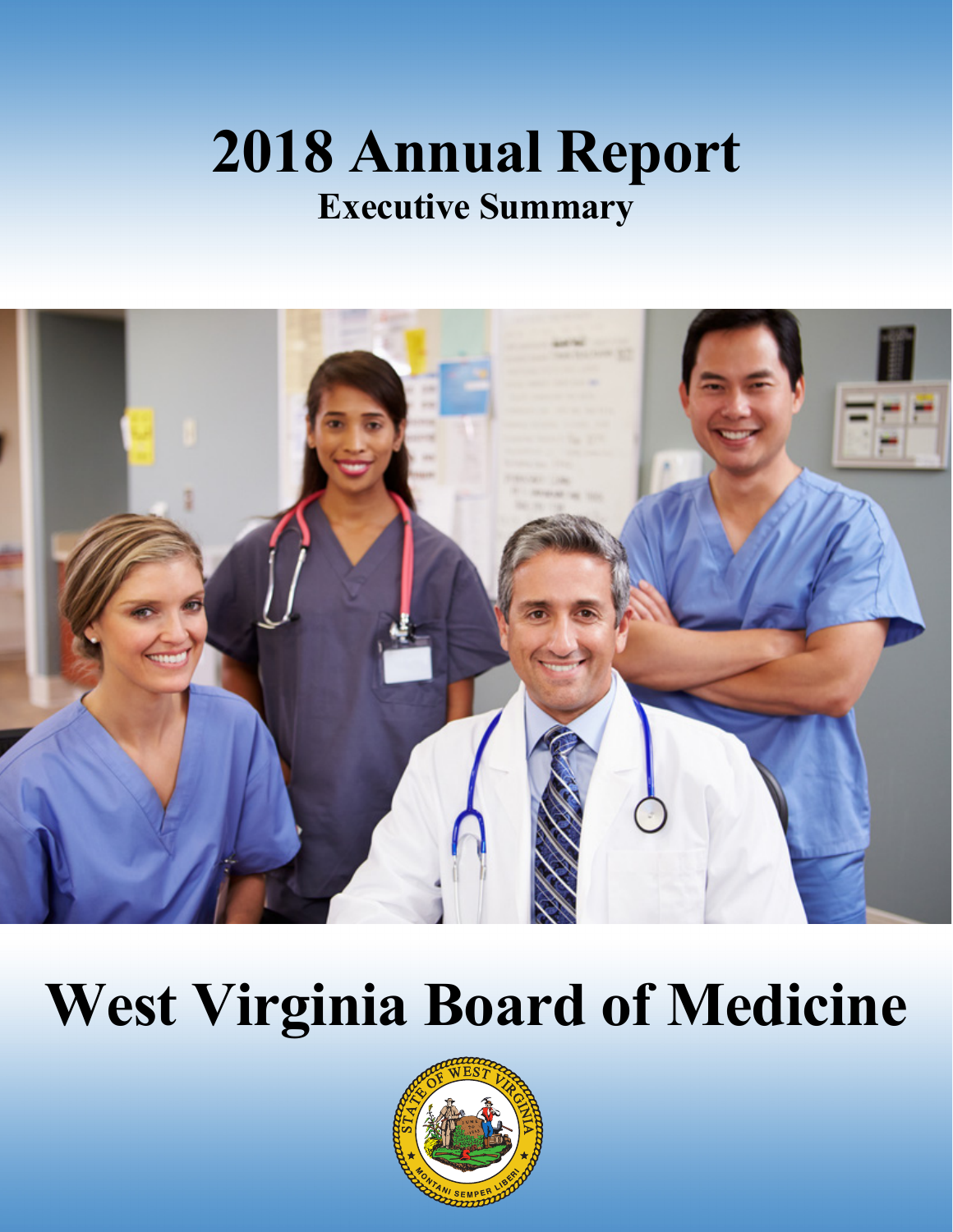# **2018 Annual Report Executive Summary**



# **West Virginia Board of Medicine**

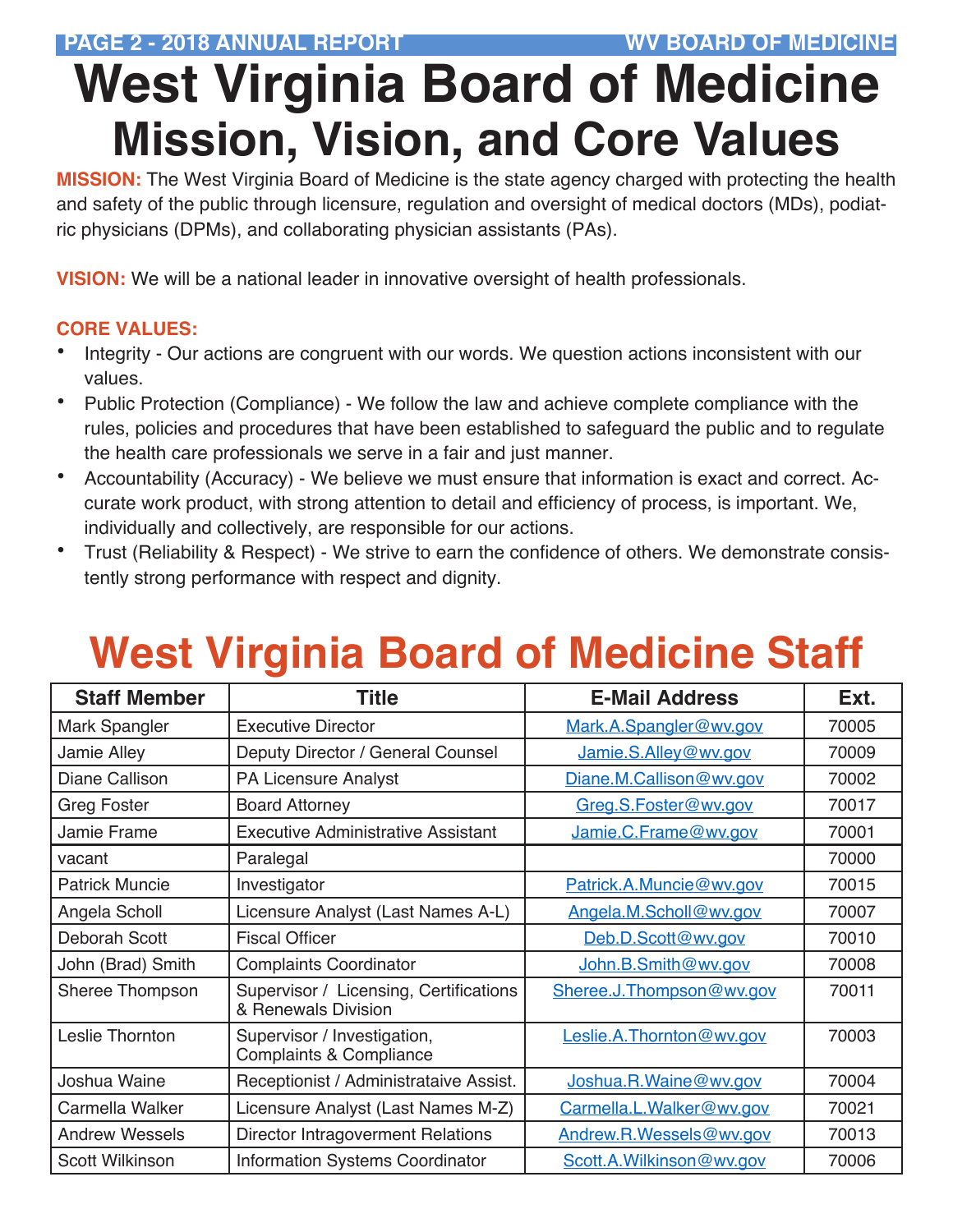# **West Virginia Board of Medicine Mission, Vision, and Core Values**

**MISSION:** The West Virginia Board of Medicine is the state agency charged with protecting the health and safety of the public through licensure, regulation and oversight of medical doctors (MDs), podiatric physicians (DPMs), and collaborating physician assistants (PAs).

**VISION:** We will be a national leader in innovative oversight of health professionals.

#### **CORE VALUES:**

- Integrity Our actions are congruent with our words. We question actions inconsistent with our values.
- Public Protection (Compliance) We follow the law and achieve complete compliance with the rules, policies and procedures that have been established to safeguard the public and to regulate the health care professionals we serve in a fair and just manner.
- Accountability (Accuracy) We believe we must ensure that information is exact and correct. Accurate work product, with strong attention to detail and efficiency of process, is important. We, individually and collectively, are responsible for our actions.
- Trust (Reliability & Respect) We strive to earn the confidence of others. We demonstrate consistently strong performance with respect and dignity.

### **West Virginia Board of Medicine Staff**

| <b>Staff Member</b>   | <b>Title</b>                                                      | <b>E-Mail Address</b>    | Ext.  |
|-----------------------|-------------------------------------------------------------------|--------------------------|-------|
| Mark Spangler         | <b>Executive Director</b>                                         | Mark.A.Spangler@wv.gov   | 70005 |
| Jamie Alley           | Deputy Director / General Counsel                                 | Jamie.S.Alley@wv.gov     | 70009 |
| Diane Callison        | PA Licensure Analyst                                              | Diane.M.Callison@wv.gov  | 70002 |
| <b>Greg Foster</b>    | <b>Board Attorney</b>                                             | Greg.S.Foster@wv.gov     | 70017 |
| Jamie Frame           | <b>Executive Administrative Assistant</b>                         | Jamie.C.Frame@wv.gov     | 70001 |
| vacant                | Paralegal                                                         |                          | 70000 |
| <b>Patrick Muncie</b> | Investigator                                                      | Patrick.A.Muncie@wv.gov  | 70015 |
| Angela Scholl         | Licensure Analyst (Last Names A-L)                                | Angela.M.Scholl@wv.gov   | 70007 |
| Deborah Scott         | <b>Fiscal Officer</b>                                             | Deb.D.Scott@wv.gov       | 70010 |
| John (Brad) Smith     | <b>Complaints Coordinator</b>                                     | John.B.Smith@wv.gov      | 70008 |
| Sheree Thompson       | Supervisor / Licensing, Certifications<br>& Renewals Division     | Sheree.J.Thompson@wv.gov | 70011 |
| Leslie Thornton       | Supervisor / Investigation,<br><b>Complaints &amp; Compliance</b> | Leslie.A.Thornton@wv.gov | 70003 |
| Joshua Waine          | Receptionist / Administrataive Assist.                            | Joshua.R.Waine@wv.gov    | 70004 |
| Carmella Walker       | Licensure Analyst (Last Names M-Z)                                | Carmella.L.Walker@wv.gov | 70021 |
| <b>Andrew Wessels</b> | Director Intragoverment Relations                                 | Andrew.R.Wessels@wv.gov  | 70013 |
| Scott Wilkinson       | <b>Information Systems Coordinator</b>                            | Scott.A.Wilkinson@wv.gov | 70006 |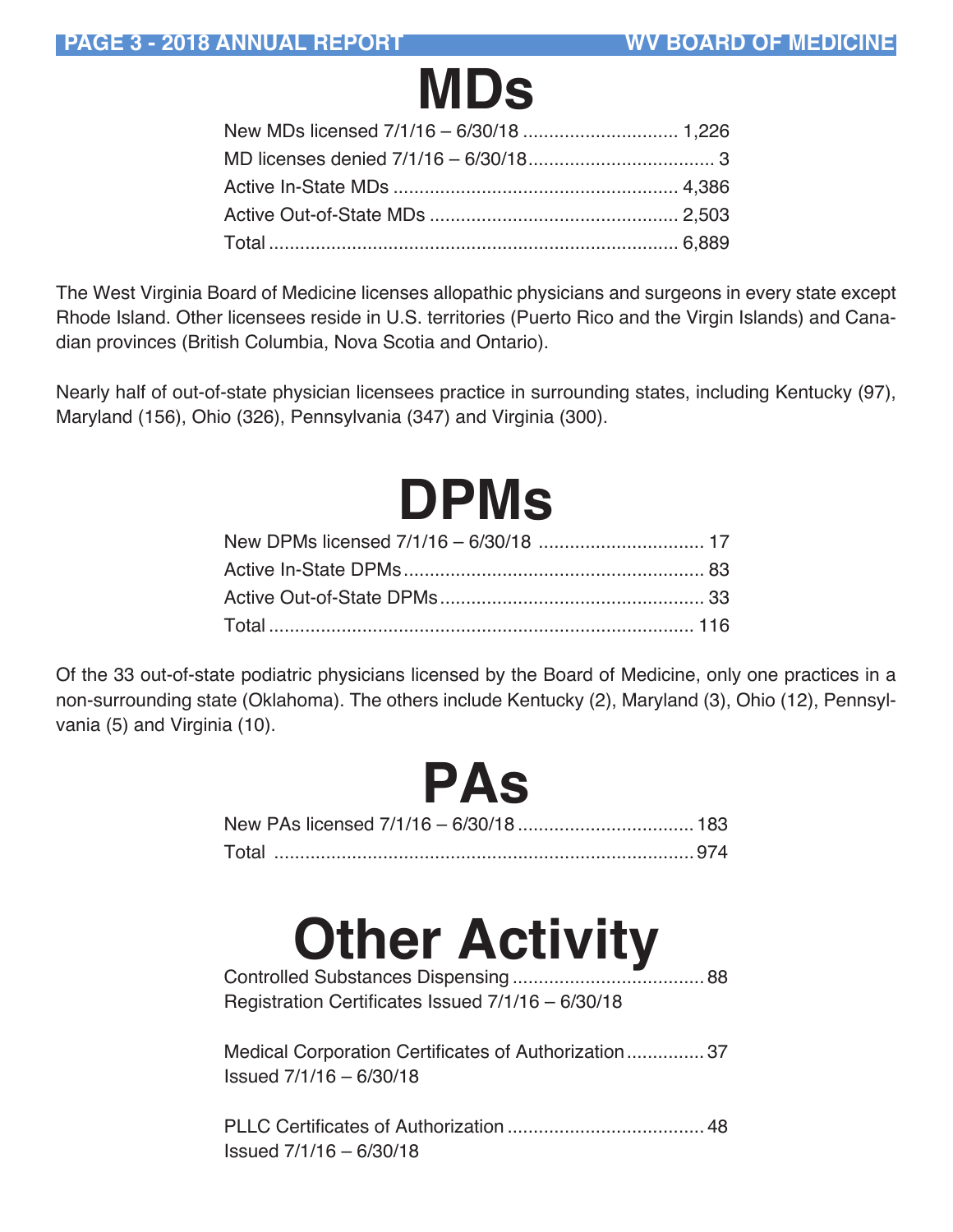

The West Virginia Board of Medicine licenses allopathic physicians and surgeons in every state except Rhode Island. Other licensees reside in U.S. territories (Puerto Rico and the Virgin Islands) and Canadian provinces (British Columbia, Nova Scotia and Ontario).

Nearly half of out-of-state physician licensees practice in surrounding states, including Kentucky (97), Maryland (156), Ohio (326), Pennsylvania (347) and Virginia (300).

| <b>DPMs</b> |  |
|-------------|--|
|             |  |
|             |  |
|             |  |
|             |  |

Of the 33 out-of-state podiatric physicians licensed by the Board of Medicine, only one practices in a non-surrounding state (Oklahoma). The others include Kentucky (2), Maryland (3), Ohio (12), Pennsylvania (5) and Virginia (10).

| PAS                                                                             |  |
|---------------------------------------------------------------------------------|--|
| New PAs licensed 7/1/16 - 6/30/18  183                                          |  |
|                                                                                 |  |
| <b>Other Activity</b><br>Registration Certificates Issued 7/1/16 - 6/30/18      |  |
| Medical Corporation Certificates of Authorization 37<br>Issued 7/1/16 - 6/30/18 |  |
| Issued 7/1/16 - 6/30/18                                                         |  |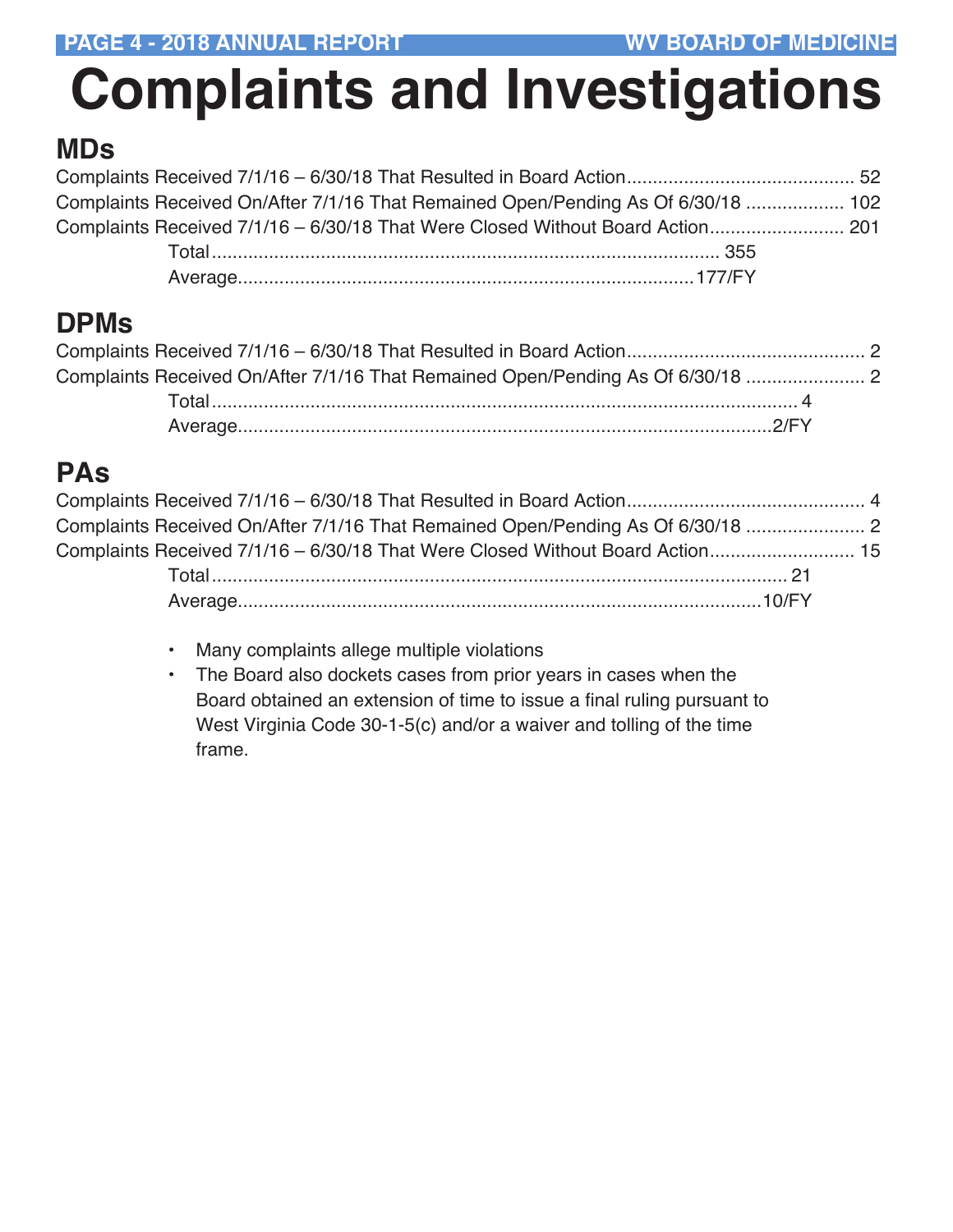# **Complaints and Investigations**

#### **MDs**

| Complaints Received On/After 7/1/16 That Remained Open/Pending As Of 6/30/18  102 |  |
|-----------------------------------------------------------------------------------|--|
| Complaints Received 7/1/16 - 6/30/18 That Were Closed Without Board Action 201    |  |
|                                                                                   |  |
|                                                                                   |  |

#### **DPMs**

| Complaints Received On/After 7/1/16 That Remained Open/Pending As Of 6/30/18 |  |
|------------------------------------------------------------------------------|--|
|                                                                              |  |
|                                                                              |  |

### **PAs**

| Complaints Received On/After 7/1/16 That Remained Open/Pending As Of 6/30/18  |  |
|-------------------------------------------------------------------------------|--|
| Complaints Received 7/1/16 - 6/30/18 That Were Closed Without Board Action 15 |  |
|                                                                               |  |
|                                                                               |  |

- Many complaints allege multiple violations
- The Board also dockets cases from prior years in cases when the Board obtained an extension of time to issue a final ruling pursuant to West Virginia Code 30-1-5(c) and/or a waiver and tolling of the time frame.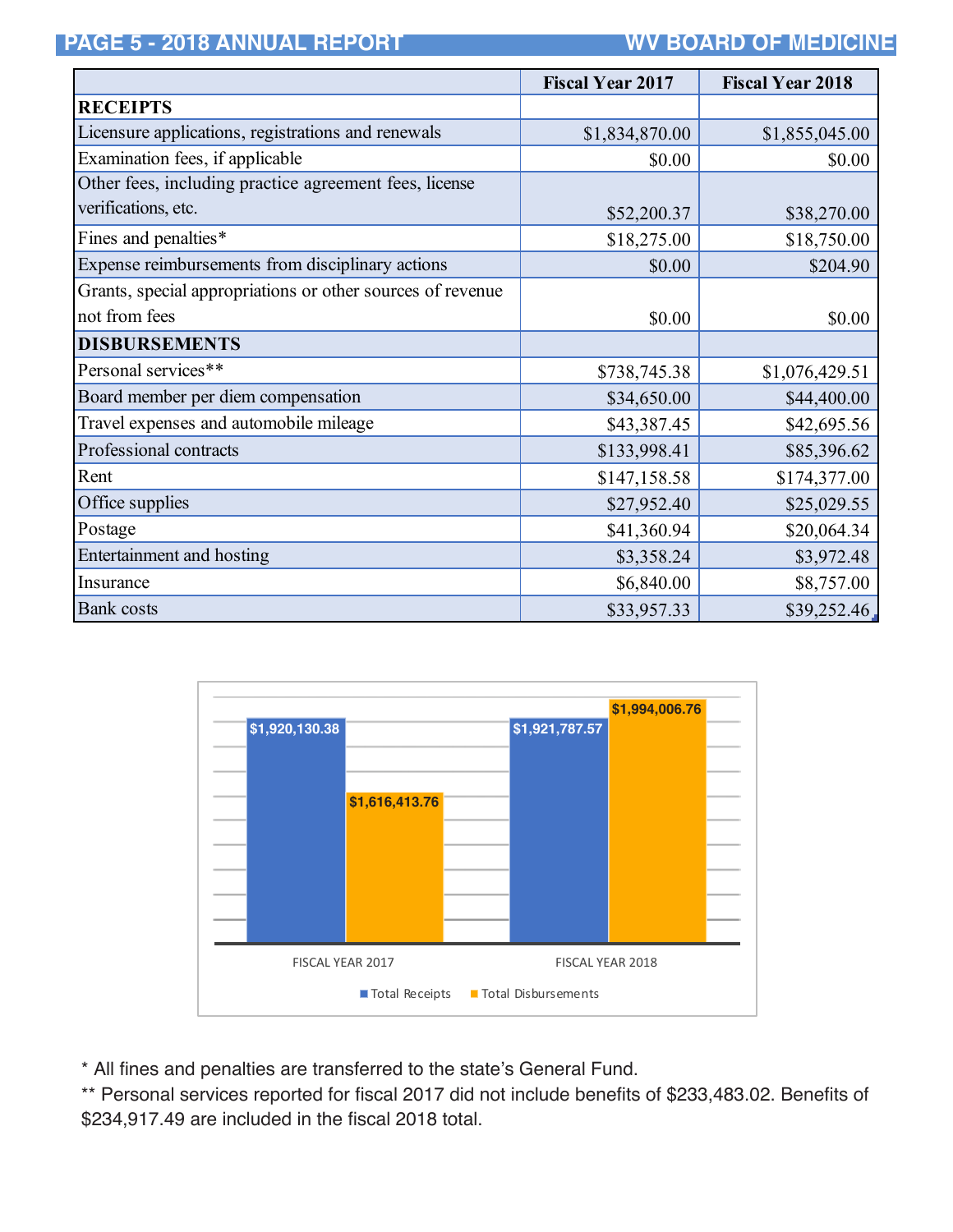**PAGE 5 - 2018 ANNUAL REPORT WV BOARD OF MEDICINE** 

|                                                            | <b>Fiscal Year 2017</b> | <b>Fiscal Year 2018</b> |
|------------------------------------------------------------|-------------------------|-------------------------|
| <b>RECEIPTS</b>                                            |                         |                         |
| Licensure applications, registrations and renewals         | \$1,834,870.00          | \$1,855,045.00          |
| Examination fees, if applicable                            | \$0.00                  | \$0.00                  |
| Other fees, including practice agreement fees, license     |                         |                         |
| verifications, etc.                                        | \$52,200.37             | \$38,270.00             |
| Fines and penalties*                                       | \$18,275.00             | \$18,750.00             |
| Expense reimbursements from disciplinary actions           | \$0.00                  | \$204.90                |
| Grants, special appropriations or other sources of revenue |                         |                         |
| not from fees                                              | \$0.00                  | \$0.00                  |
| <b>DISBURSEMENTS</b>                                       |                         |                         |
| Personal services**                                        | \$738,745.38            | \$1,076,429.51          |
| Board member per diem compensation                         | \$34,650.00             | \$44,400.00             |
| Travel expenses and automobile mileage                     | \$43,387.45             | \$42,695.56             |
| Professional contracts                                     | \$133,998.41            | \$85,396.62             |
| Rent                                                       | \$147,158.58            | \$174,377.00            |
| Office supplies                                            | \$27,952.40             | \$25,029.55             |
| Postage                                                    | \$41,360.94             | \$20,064.34             |
| <b>Entertainment and hosting</b>                           | \$3,358.24              | \$3,972.48              |
| Insurance                                                  | \$6,840.00              | \$8,757.00              |
| Bank costs                                                 | \$33,957.33             | \$39,252.46             |



\* All fines and penalties are transferred to the state's General Fund.

\*\* Personal services reported for fiscal 2017 did not include benefits of \$233,483.02. Benefits of \$234,917.49 are included in the fiscal 2018 total.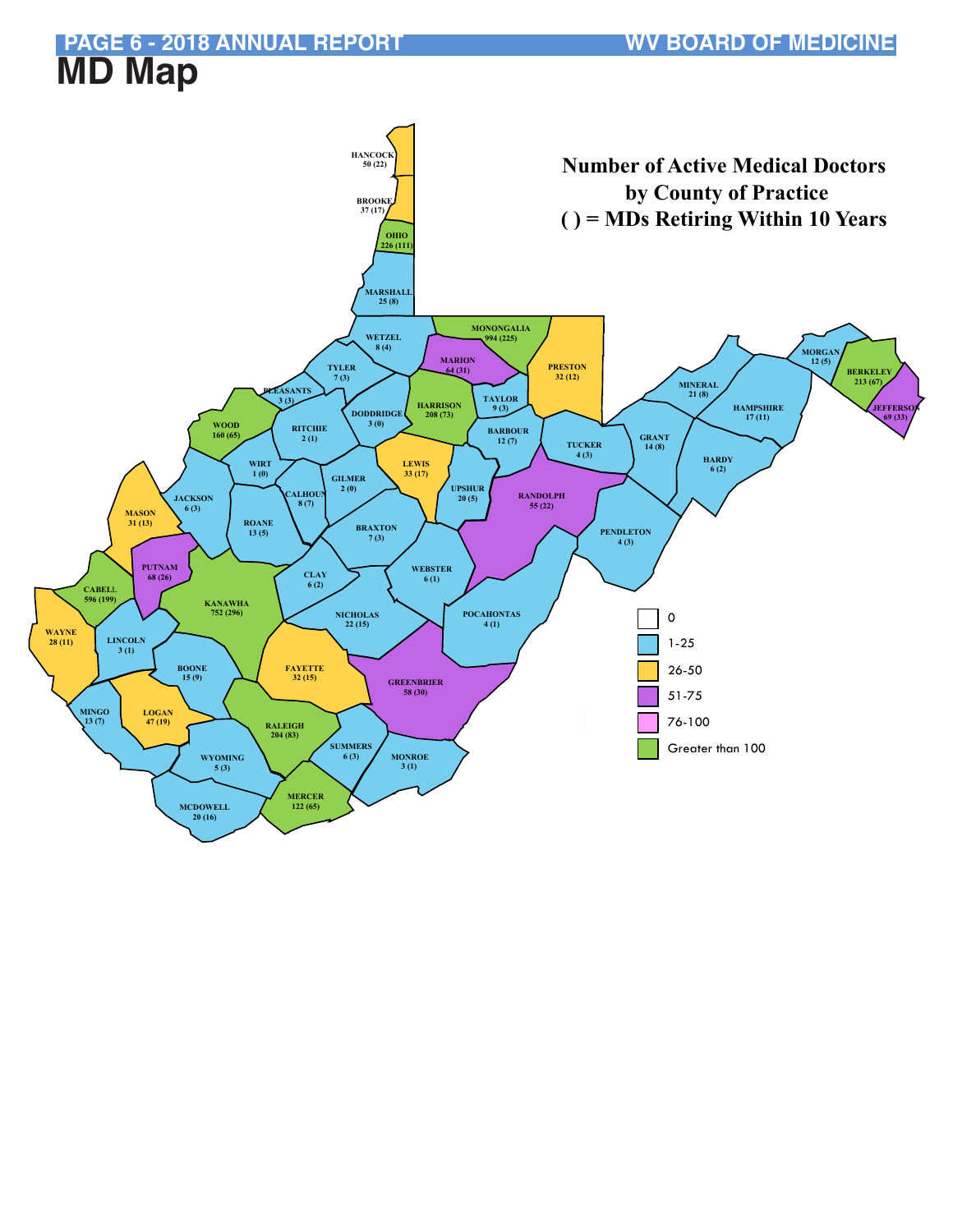#### **PAGE 6 - 2018 ANNUAL REPORT WV BOARD OF MEDICINE MD Map**

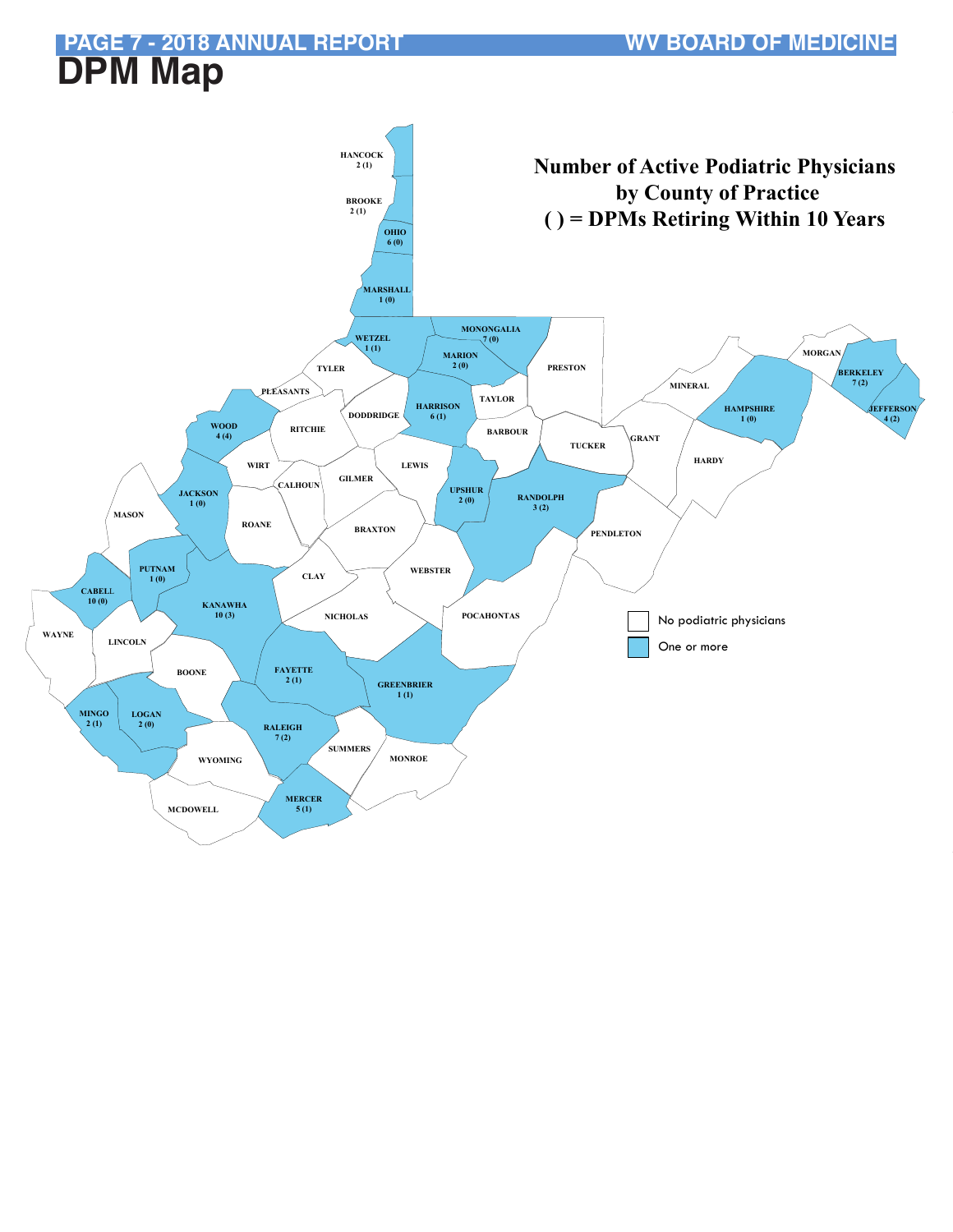# **DPM Map**